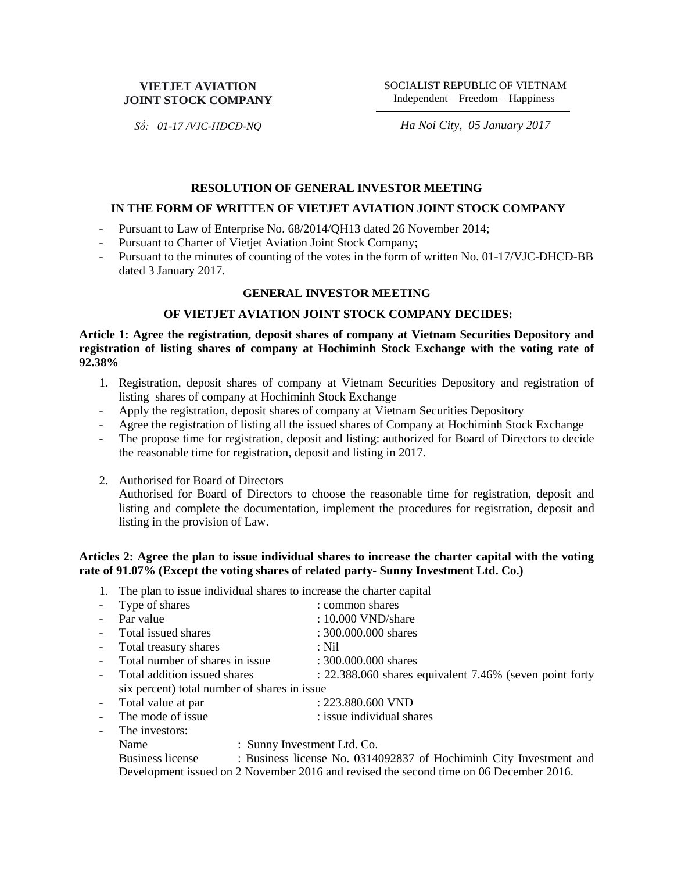## **VIETJET AVIATION JOINT STOCK COMPANY**

SOCIALIST REPUBLIC OF VIETNAM Independent – Freedom – Happiness

*Số: 01-17 /VJC-HĐCĐ-NQ*

*Ha Noi City, 05 January 2017*

#### **RESOLUTION OF GENERAL INVESTOR MEETING**

#### **IN THE FORM OF WRITTEN OF VIETJET AVIATION JOINT STOCK COMPANY**

- Pursuant to Law of Enterprise No. 68/2014/QH13 dated 26 November 2014;
- Pursuant to Charter of Vietjet Aviation Joint Stock Company;
- Pursuant to the minutes of counting of the votes in the form of written No. 01-17/VJC-ĐHCĐ-BB dated 3 January 2017.

#### **GENERAL INVESTOR MEETING**

#### **OF VIETJET AVIATION JOINT STOCK COMPANY DECIDES:**

**Article 1: Agree the registration, deposit shares of company at Vietnam Securities Depository and registration of listing shares of company at Hochiminh Stock Exchange with the voting rate of 92.38%**

- 1. Registration, deposit shares of company at Vietnam Securities Depository and registration of listing shares of company at Hochiminh Stock Exchange
- Apply the registration, deposit shares of company at Vietnam Securities Depository
- Agree the registration of listing all the issued shares of Company at Hochiminh Stock Exchange
- The propose time for registration, deposit and listing: authorized for Board of Directors to decide the reasonable time for registration, deposit and listing in 2017.
- 2. Authorised for Board of Directors

Authorised for Board of Directors to choose the reasonable time for registration, deposit and listing and complete the documentation, implement the procedures for registration, deposit and listing in the provision of Law.

# **Articles 2: Agree the plan to issue individual shares to increase the charter capital with the voting rate of 91.07% (Except the voting shares of related party- Sunny Investment Ltd. Co.)**

1. The plan to issue individual shares to increase the charter capital

|                          | - Type of shares                                                                       | : common shares                                         |
|--------------------------|----------------------------------------------------------------------------------------|---------------------------------------------------------|
| $\equiv$                 | Par value                                                                              | : 10.000 VND/share                                      |
| $\sim$                   | Total issued shares                                                                    | : 300.000.000 shares                                    |
| $\overline{\phantom{a}}$ | Total treasury shares                                                                  | $:$ Nil                                                 |
|                          | Total number of shares in issue                                                        | : 300.000.000 shares                                    |
| $\equiv$                 | Total addition issued shares                                                           | : 22.388.060 shares equivalent 7.46% (seven point forty |
|                          | six percent) total number of shares in issue                                           |                                                         |
| $\sim$                   | Total value at par                                                                     | : 223.880.600 VND                                       |
|                          | The mode of issue                                                                      | : issue individual shares                               |
|                          | The investors:                                                                         |                                                         |
|                          | : Sunny Investment Ltd. Co.<br>Name                                                    |                                                         |
|                          | : Business license No. 0314092837 of Hochiminh City Investment and<br>Business license |                                                         |
|                          | Development issued on 2 November 2016 and revised the second time on 06 December 2016. |                                                         |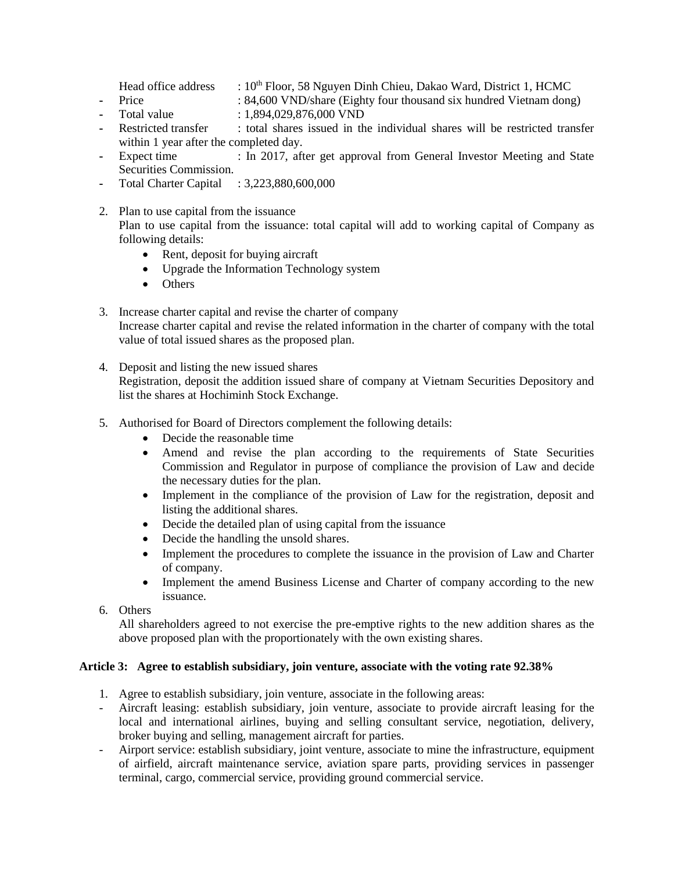- Head office address :  $10^{th}$  Floor, 58 Nguyen Dinh Chieu, Dakao Ward, District 1, HCMC
- **-** Price : 84,600 VND/share (Eighty four thousand six hundred Vietnam dong)
- **-** Total value : 1,894,029,876,000 VND
- Restricted transfer : total shares issued in the individual shares will be restricted transfer within 1 year after the completed day.
- **-** Expect time : In 2017, after get approval from General Investor Meeting and State Securities Commission.
- **-** Total Charter Capital : 3,223,880,600,000
- 2. Plan to use capital from the issuance Plan to use capital from the issuance: total capital will add to working capital of Company as following details:
	- Rent, deposit for buying aircraft
	- Upgrade the Information Technology system
	- Others
- 3. Increase charter capital and revise the charter of company Increase charter capital and revise the related information in the charter of company with the total value of total issued shares as the proposed plan.
- 4. Deposit and listing the new issued shares Registration, deposit the addition issued share of company at Vietnam Securities Depository and list the shares at Hochiminh Stock Exchange.
- 5. Authorised for Board of Directors complement the following details:
	- Decide the reasonable time
	- Amend and revise the plan according to the requirements of State Securities Commission and Regulator in purpose of compliance the provision of Law and decide the necessary duties for the plan.
	- Implement in the compliance of the provision of Law for the registration, deposit and listing the additional shares.
	- Decide the detailed plan of using capital from the issuance
	- Decide the handling the unsold shares.
	- Implement the procedures to complete the issuance in the provision of Law and Charter of company.
	- Implement the amend Business License and Charter of company according to the new issuance.
- 6. Others

All shareholders agreed to not exercise the pre-emptive rights to the new addition shares as the above proposed plan with the proportionately with the own existing shares.

# **Article 3: Agree to establish subsidiary, join venture, associate with the voting rate 92.38%**

- 1. Agree to establish subsidiary, join venture, associate in the following areas:
- Aircraft leasing: establish subsidiary, join venture, associate to provide aircraft leasing for the local and international airlines, buying and selling consultant service, negotiation, delivery, broker buying and selling, management aircraft for parties.
- Airport service: establish subsidiary, joint venture, associate to mine the infrastructure, equipment of airfield, aircraft maintenance service, aviation spare parts, providing services in passenger terminal, cargo, commercial service, providing ground commercial service.